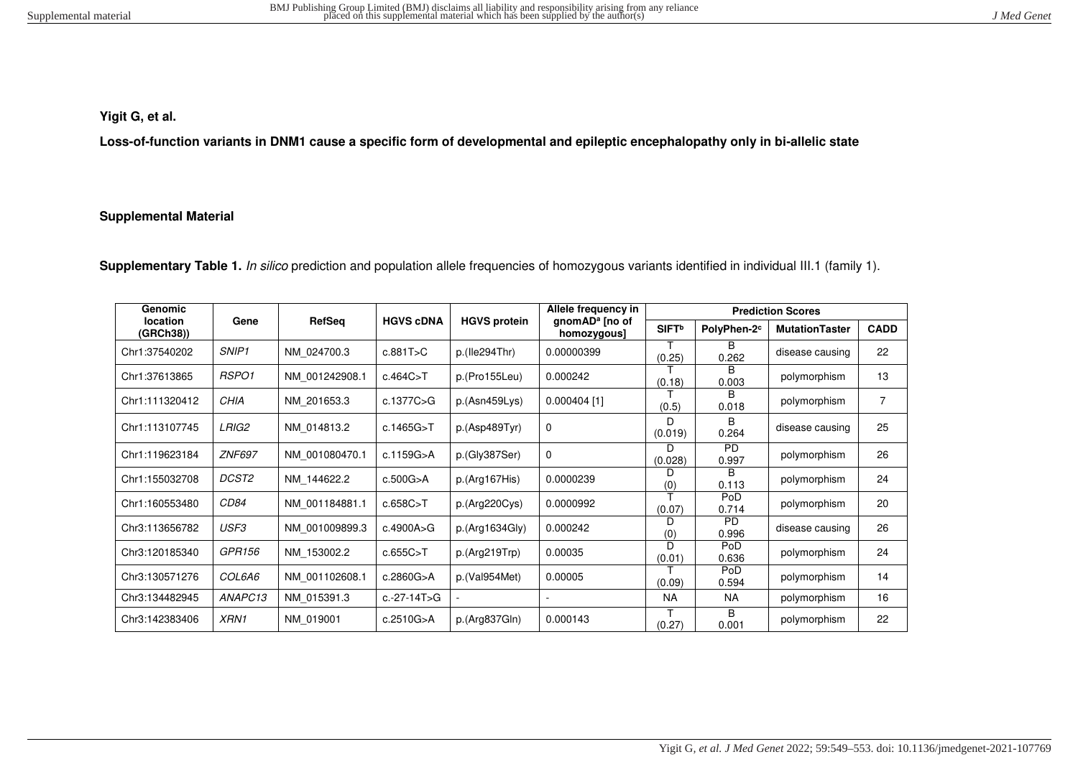# **Yigit G, et al.**

**Loss-of-function variants in DNM1 cause a specific form of developmental and epileptic encephalopathy only in bi-allelic state** 

### **Supplemental Material**

Supplementary Table 1. In silico prediction and population allele frequencies of homozygous variants identified in individual III.1 (family 1).

| Genomic               |                   |                |                  |                     | Allele frequency in                       | <b>Prediction Scores</b> |                         |                       |                |  |  |  |
|-----------------------|-------------------|----------------|------------------|---------------------|-------------------------------------------|--------------------------|-------------------------|-----------------------|----------------|--|--|--|
| location<br>(GRCh38)) | Gene              | RefSeq         | <b>HGVS cDNA</b> | <b>HGVS protein</b> | gnomAD <sup>a</sup> [no of<br>homozygous] | <b>SIFT</b> <sup>b</sup> | PolyPhen-2 <sup>c</sup> | <b>MutationTaster</b> | <b>CADD</b>    |  |  |  |
| Chr1:37540202         | SNIP <sub>1</sub> | NM 024700.3    | c.881T>C         | p.(Ile294Thr)       | 0.00000399                                | (0.25)                   | в<br>0.262              | disease causing       | 22             |  |  |  |
| Chr1:37613865         | RSPO1             | NM 001242908.1 | c.464C > T       | p.(Pro155Leu)       | 0.000242                                  | (0.18)                   | B<br>0.003              | polymorphism          | 13             |  |  |  |
| Chr1:111320412        | CHIA              | NM 201653.3    | c.1377C>G        | p.(Asn459Lys)       | $0.000404$ [1]                            | (0.5)                    | R.<br>0.018             | polymorphism          | $\overline{7}$ |  |  |  |
| Chr1:113107745        | LRIG2             | NM 014813.2    | c.1465G>T        | p.(Asp489Tyr)       | $\Omega$                                  | D<br>(0.019)             | B<br>0.264              | disease causing       | 25             |  |  |  |
| Chr1:119623184        | <b>ZNF697</b>     | NM 001080470.1 | c.1159G>A        | p.(Gly387Ser)       | $\Omega$                                  | D<br>(0.028)             | P <sub>D</sub><br>0.997 | polymorphism          | 26             |  |  |  |
| Chr1:155032708        | DCST2             | NM 144622.2    | c.500G > A       | p.(Arg167His)       | 0.0000239                                 | D<br>(0)                 | <sub>R</sub><br>0.113   | polymorphism          | 24             |  |  |  |
| Chr1:160553480        | <i>CD84</i>       | NM 001184881.1 | c.658C > T       | p.(Arg220Cys)       | 0.0000992                                 | (0.07)                   | PoD<br>0.714            | polymorphism          | 20             |  |  |  |
| Chr3:113656782        | USF3              | NM 001009899.3 | c.4900A>G        | p.(Arg1634Gly)      | 0.000242                                  | D<br>(0)                 | <b>PD</b><br>0.996      | disease causing       | 26             |  |  |  |
| Chr3:120185340        | GPR156            | NM 153002.2    | c.655C > T       | p.(Arg219Trp)       | 0.00035                                   | D<br>(0.01)              | PoD<br>0.636            | polymorphism          | 24             |  |  |  |
| Chr3:130571276        | <i>COL6A6</i>     | NM 001102608.1 | c.2860G > A      | p.(Val954Met)       | 0.00005                                   | PoD<br>(0.09)<br>0.594   |                         | polymorphism          | 14             |  |  |  |
| Chr3:134482945        | ANAPC13           | NM 015391.3    | c.-27-14T>G      |                     |                                           | <b>NA</b>                | NA.                     | polymorphism          | 16             |  |  |  |
| Chr3:142383406        | XRN1              | NM 019001      | c.2510G>A        | p.(Arg837Gln)       | 0.000143                                  | (0.27)                   | B<br>0.001              | polymorphism          | 22             |  |  |  |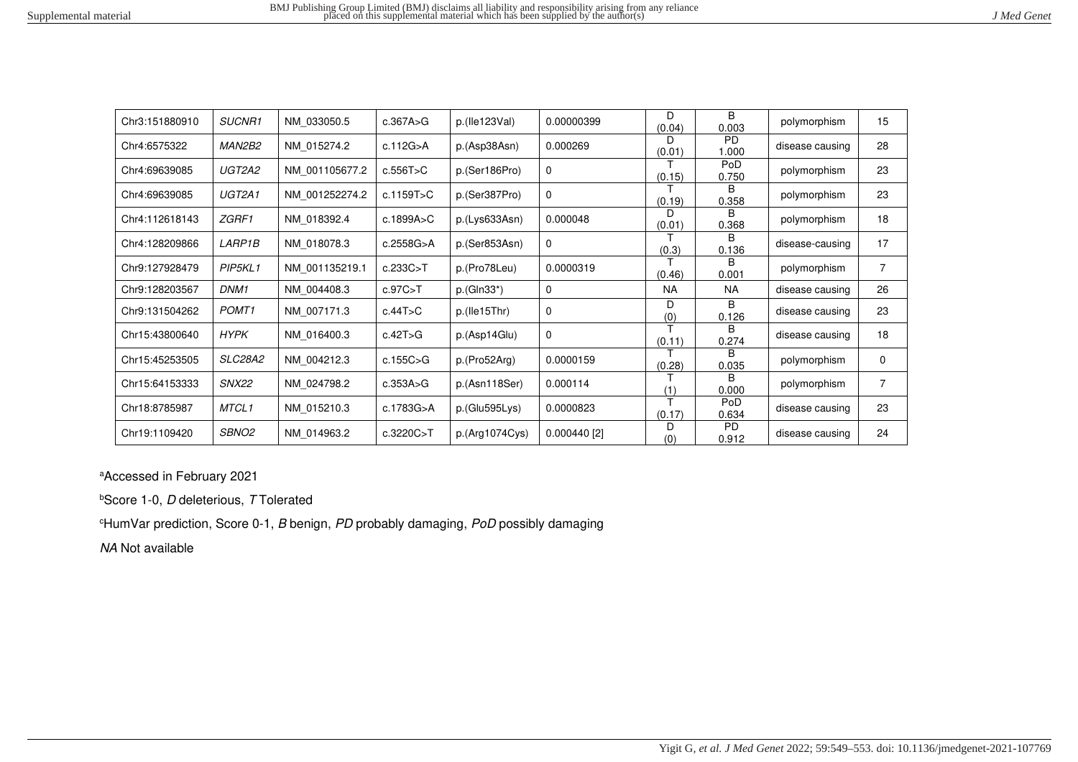|  |  |  | J Med Genet |
|--|--|--|-------------|
|--|--|--|-------------|

| Chr3:151880910 | SUCNR1            | NM 033050.5    | c.367A > G | p.(He123Val)   | B.<br>D.<br>0.00000399<br>(0.04)<br>0.003 |             | polymorphism          | 15              |                |
|----------------|-------------------|----------------|------------|----------------|-------------------------------------------|-------------|-----------------------|-----------------|----------------|
| Chr4:6575322   | MAN2B2            | NM 015274.2    | c.112G > A | p.(Asp38Asn)   | 0.000269                                  | D<br>(0.01) | <b>PD</b><br>1.000    | disease causing | 28             |
| Chr4:69639085  | UGT2A2            | NM 001105677.2 | c.556T>C   | p.(Ser186Pro)  | 0                                         | (0.15)      | PoD<br>0.750          | polymorphism    | 23             |
| Chr4:69639085  | UGT2A1            | NM 001252274.2 | c.1159T>C  | p.(Ser387Pro)  | $\Omega$                                  | (0.19)      | R<br>0.358            | polymorphism    | 23             |
| Chr4:112618143 | ZGRF1             | NM 018392.4    | c.1899A>C  | p.(Lys633Asn)  | 0.000048                                  | D<br>(0.01) | B.<br>0.368           | polymorphism    | 18             |
| Chr4:128209866 | <i>LARP1B</i>     | NM 018078.3    | c.2558G>A  | p.(Ser853Asn)  | $\mathbf 0$                               | (0.3)       | B.<br>0.136           | disease-causing | 17             |
| Chr9:127928479 | PIP5KL1           | NM 001135219.1 | c.233C > T | p.(Pro78Leu)   | 0.0000319                                 | (0.46)      | B.<br>0.001           | polymorphism    | $\overline{7}$ |
| Chr9:128203567 | DNM1              | NM 004408.3    | c.97C > T  | $p.(GIn33*)$   | $\mathbf 0$                               | <b>NA</b>   | <b>NA</b>             | disease causing | 26             |
| Chr9:131504262 | POMT <sub>1</sub> | NM 007171.3    | c.44T>C    | p.(He15Thr)    | $\Omega$                                  | D<br>(0)    | B.<br>0.126           | disease causing | 23             |
| Chr15:43800640 | HYPK              | NM 016400.3    | c.42T>G    | p.(Asp14Glu)   | $\Omega$                                  | (0.11)      | B<br>0.274            | disease causing | 18             |
| Chr15:45253505 | SLC28A2           | NM 004212.3    | c.155C > G | p.(Pro52Arg)   | 0.0000159                                 | (0.28)      | B.<br>0.035           | polymorphism    | 0              |
| Chr15:64153333 | <b>SNX22</b>      | NM 024798.2    | c.353A>G   | p.(Asn118Ser)  | 0.000114                                  | (1)         | <sub>R</sub><br>0.000 | polymorphism    | $\overline{7}$ |
| Chr18:8785987  | MTCL1             | NM 015210.3    | c.1783G>A  | p.(Glu595Lys)  | 0.0000823                                 | т<br>(0.17) | PoD<br>0.634          | disease causing | 23             |
| Chr19:1109420  | SBNO2             | NM 014963.2    | c.3220C>T  | p.(Arg1074Cys) | $0.000440$ [2]                            | D<br>(0)    | <b>PD</b><br>0.912    | disease causing | 24             |

<sup>a</sup>Accessed in February 2021

**bScore 1-0, D deleterious, T Tolerated** 

 $c$ HumVar prediction, Score 0-1, B benign, PD probably damaging, PoD possibly damaging

NA Not available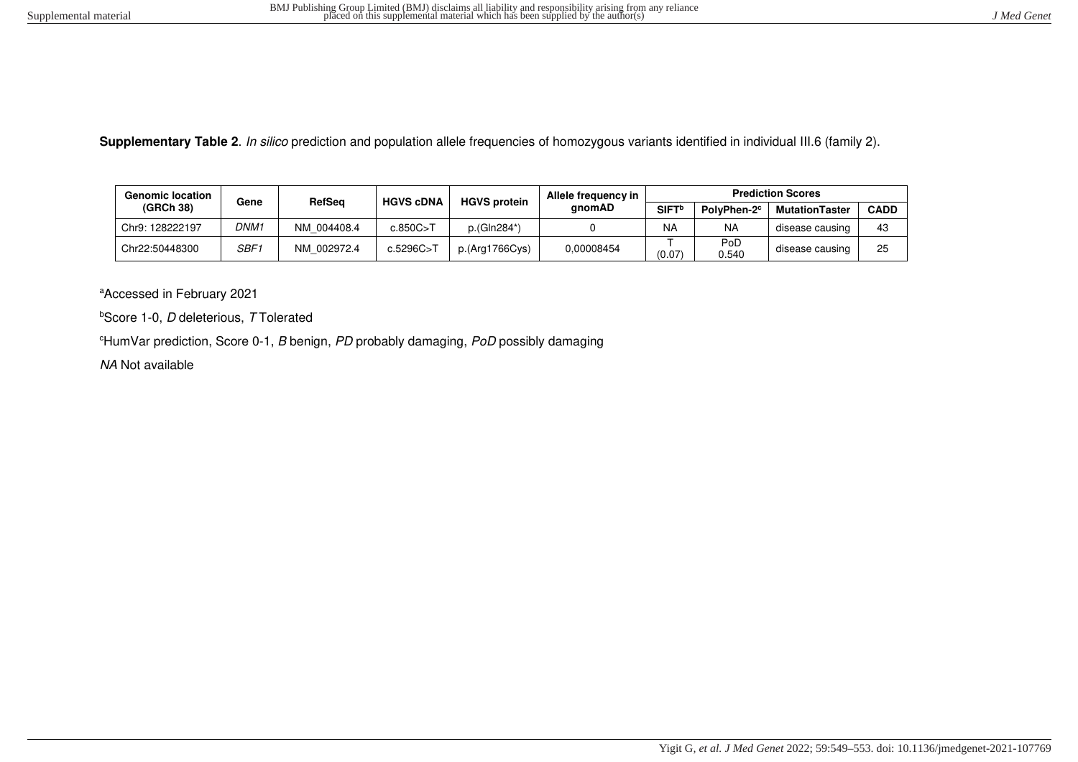**Supplementary Table 2**. In silico prediction and population allele frequencies of homozygous variants identified in individual III.6 (family 2).

| <b>Genomic location</b> | Gene | RefSea      | <b>HGVS cDNA</b> | <b>HGVS protein</b> | Allele frequency in | <b>Prediction Scores</b> |                         |                       |             |  |  |
|-------------------------|------|-------------|------------------|---------------------|---------------------|--------------------------|-------------------------|-----------------------|-------------|--|--|
| (GRCh 38)               |      |             |                  |                     | anomAD              | SIFT <sup>b</sup>        | PolyPhen-2 <sup>c</sup> | <b>MutationTaster</b> | <b>CADD</b> |  |  |
| Chr9: 128222197         | DNM1 | NM 004408.4 | c.850C > T       | p.(Gln284*)         |                     | <b>NA</b>                | <b>NA</b>               | disease causing       | 43          |  |  |
| Chr22:50448300          | SBF1 | NM 002972.4 | c.5296C>T        | p.(Arg1766Cys)      | 0.00008454          | (0.07)                   | PoD<br>0.540            | disease causing       | 25          |  |  |

<sup>a</sup>Accessed in February 2021

 $b$ Score 1-0, *D* deleterious, *T* Tolerated

 $e$ HumVar prediction, Score 0-1, B benign, PD probably damaging, PoD possibly damaging

NA Not available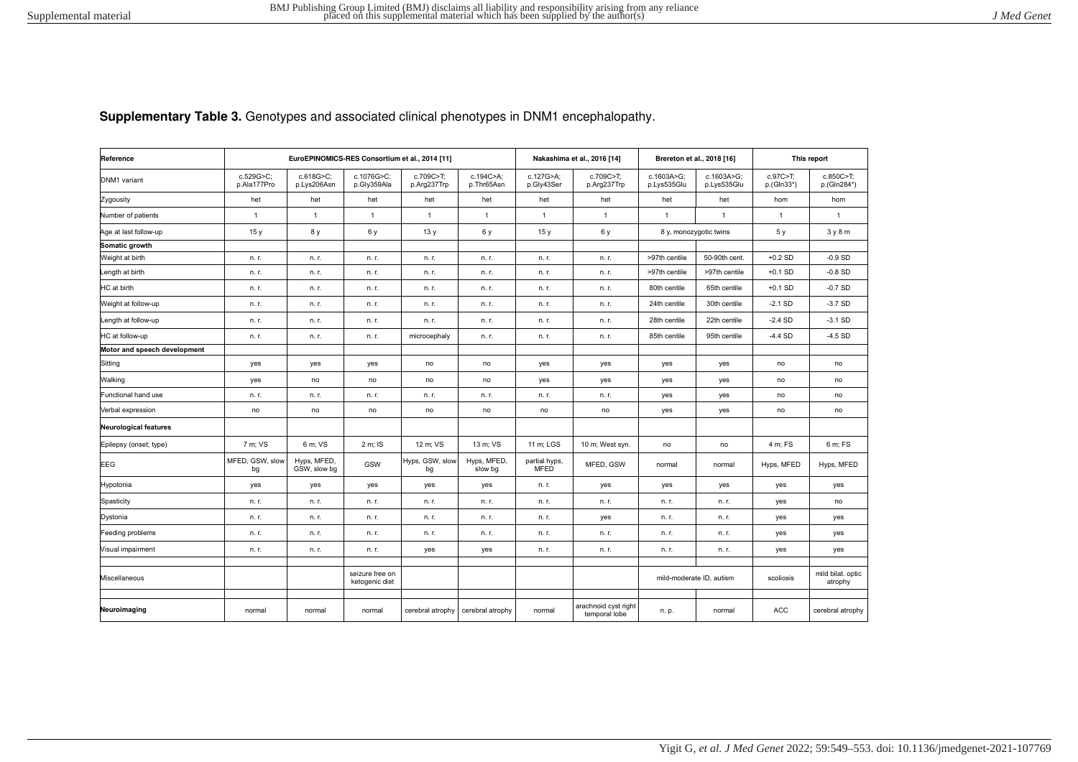**Supplementary Table 3.** Genotypes and associated clinical phenotypes in DNM1 encephalopathy.

| Reference                    | EuroEPINOMICS-RES Consortium et al., 2014 [11] |                             |                                   |                          |                         |                              | Nakashima et al., 2016 [14]           | Brereton et al., 2018 [16] |                           | This report            |                              |
|------------------------------|------------------------------------------------|-----------------------------|-----------------------------------|--------------------------|-------------------------|------------------------------|---------------------------------------|----------------------------|---------------------------|------------------------|------------------------------|
| DNM1 variant                 | c.529G>C;<br>p.Ala177Pro                       | c.618G>C;<br>p.Lys206Asn    | c.1076G>C;<br>p.Gly359Ala         | c.709C>T;<br>p.Arg237Trp | c.194C>A;<br>p.Thr65Asn | c.127G>A;<br>p.Gly43Ser      | c.709C>T;<br>p.Arg237Trp              | c.1603A>G;<br>p.Lys535Glu  | c.1603A>G;<br>p.Lys535Glu | c.97C>T;<br>p.(Gln33*) | c.850C>T;<br>p.(Gln284*)     |
| Zygousity                    | het                                            | het                         | het                               | het                      | het                     | het                          | het                                   | het                        | het                       | hom                    | hom                          |
| Number of patients           | $\mathbf{1}$                                   | $\mathbf{1}$                | $\mathbf{1}$                      | $\mathbf{1}$             | $\mathbf{1}$            | $\mathbf{1}$                 | $\mathbf{1}$                          | $\mathbf{1}$               | $\mathbf{1}$              | $\mathbf{1}$           | $\overline{1}$               |
| Age at last follow-up        | 15y                                            | 8 y                         | 6 y                               | 13y                      | 6 y                     | 15y                          | 6 y                                   | 8 y, monozygotic twins     |                           | 5 y                    | 3y8m                         |
| Somatic growth               |                                                |                             |                                   |                          |                         |                              |                                       |                            |                           |                        |                              |
| Weight at birth              | n. r.                                          | n. r.                       | n. r.                             | n. r.                    | n. r.                   | n. r.                        | n. r.                                 | >97th centile              | 50-90th cent.             | $+0.2$ SD              | $-0.9$ SD                    |
| Length at birth              | n. r.                                          | n. r.                       | n. r.                             | n. r.                    | n. r.                   | n. r.                        | n. r.                                 | >97th centile              | >97th centile             | $+0.1$ SD              | $-0.8$ SD                    |
| HC at birth                  | n. r.                                          | n. r.                       | n. r.                             | n. r.                    | n. r.                   | n. r.                        | n. r.                                 | 80th centile               | 65th centile              | $+0.1$ SD              | $-0.7SD$                     |
| Weight at follow-up          | n. r.                                          | n. r.                       | n. r.                             | n. r.                    | n. r.                   | n. r.                        | n. r.                                 | 24th centile               | 30th centile              | $-2.1$ SD              | $-3.7SD$                     |
| Length at follow-up          | n. r.                                          | n. r.                       | n. r.                             | n. r.                    | n. r.                   | n. r.                        | n. r.                                 | 28th centile               | 22th centile              | $-2.4$ SD              | $-3.1$ SD                    |
| HC at follow-up              | n. r.                                          | n. r.                       | n. r.                             | microcephaly             | n. r.                   | n. r.                        | n. r.                                 | 85th centile               | 95th centile              | $-4.4$ SD              | $-4.5$ SD                    |
| Motor and speech development |                                                |                             |                                   |                          |                         |                              |                                       |                            |                           |                        |                              |
| Sitting                      | yes                                            | yes                         | yes                               | no                       | no                      | yes                          | yes                                   | yes                        | yes                       | no                     | no                           |
| Walking                      | yes                                            | no                          | no                                | no                       | no                      | yes                          | yes                                   | yes                        | yes                       | no                     | no                           |
| Functional hand use          | n. r.                                          | n. r.                       | n. r.                             | n. r.                    | n. r.                   | n. r.                        | n. r.                                 | yes                        | yes                       | no                     | no                           |
| Verbal expression            | no                                             | no                          | no                                | no                       | no                      | no                           | no                                    | yes                        | yes                       | no                     | no                           |
| <b>Neurological features</b> |                                                |                             |                                   |                          |                         |                              |                                       |                            |                           |                        |                              |
| Epilepsy (onset; type)       | 7 m; VS                                        | 6 m: VS                     | 2 m; IS                           | 12 m: VS                 | 13 m; VS                | 11 m; LGS                    | 10 m; West syn.                       | no                         | no                        | 4 m; FS                | 6 m: FS                      |
| <b>EEG</b>                   | MFED, GSW, slow<br>bg                          | Hyps, MFED,<br>GSW, slow bg | GSW                               | Hyps, GSW, slow<br>bg    | Hyps, MFED,<br>slow bg  | partial hyps,<br><b>MFED</b> | MFED. GSW                             | normal                     | normal                    | Hyps, MFED             | Hyps, MFED                   |
| Hypotonia                    | yes                                            | yes                         | yes                               | yes                      | yes                     | n. r.                        | yes                                   | yes                        | yes                       | yes                    | yes                          |
| Spasticity                   | n. r.                                          | n. r.                       | n. r.                             | n. r.                    | n. r.                   | n. r.                        | n. r.                                 | n. r.                      | n. r.                     | yes                    | no                           |
| Dystonia                     | n. r.                                          | n. r.                       | n. r.                             | n. r.                    | n. r.                   | n. r.                        | yes                                   | n. r.                      | n. r.                     | yes                    | yes                          |
| Feeding problems             | n. r.                                          | n. r.                       | n. r.                             | n. r.                    | n. r.                   | n. r.                        | n. r.                                 | n. r.                      | n. r.                     | yes                    | yes                          |
| Visual impairment            | n. r.                                          | n. r.                       | n. r.                             | yes                      | yes                     | n. r.                        | n. r.                                 | n. r.                      | n. r.                     | yes                    | yes                          |
| Miscellaneous                |                                                |                             | seizure free on<br>ketogenic diet |                          |                         |                              |                                       | mild-moderate ID, autism   |                           | scoliosis              | mild bilat. optic<br>atrophy |
|                              |                                                |                             |                                   |                          |                         |                              |                                       |                            |                           |                        |                              |
| Neuroimaging                 | normal                                         | normal                      | normal                            | cerebral atrophy         | cerebral atrophy        | normal                       | arachnoid cyst right<br>temporal lobe | n. p.                      | normal                    | <b>ACC</b>             | cerebral atrophy             |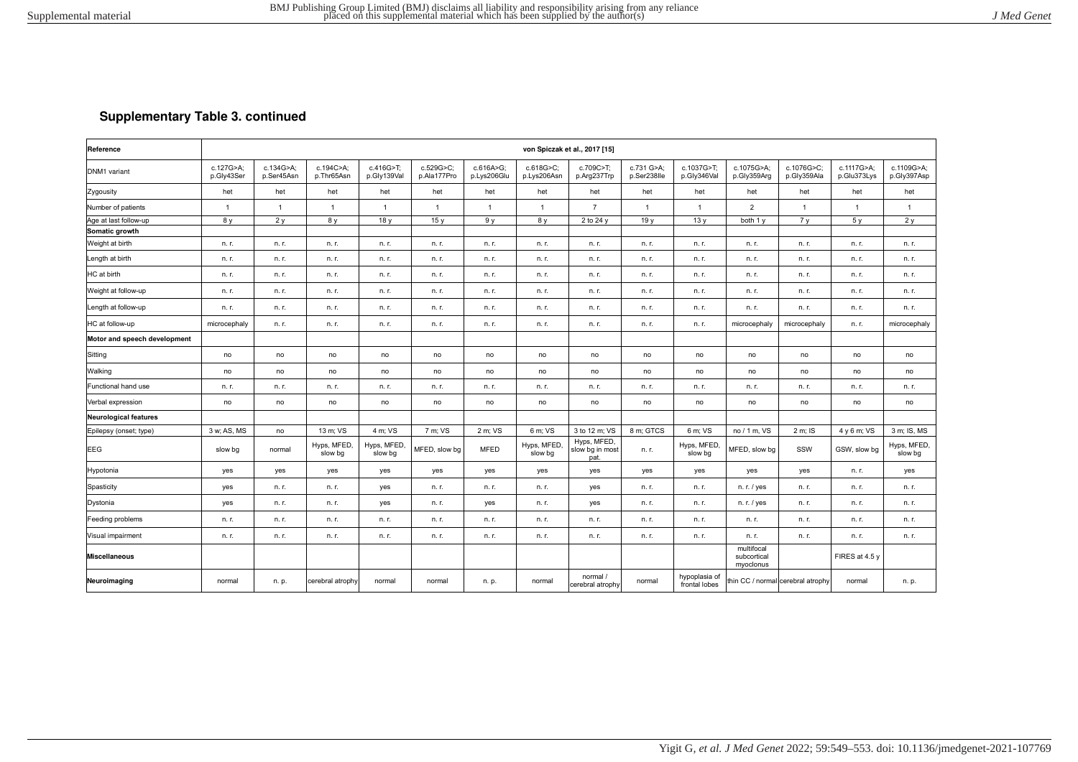## **Supplementary Table 3. continued**

| Reference                    | von Spiczak et al., 2017 [15] |                         |                         |                          |                          |                          |                          |                                        |                           |                                |                                        |                                   |                           |                           |
|------------------------------|-------------------------------|-------------------------|-------------------------|--------------------------|--------------------------|--------------------------|--------------------------|----------------------------------------|---------------------------|--------------------------------|----------------------------------------|-----------------------------------|---------------------------|---------------------------|
| DNM1 variant                 | c.127G>A:<br>p.Gly43Ser       | c.134G>A:<br>p.Ser45Asn | c.194C>A:<br>p.Thr65Asn | c.416G>T:<br>p.Gly139Val | c.529G>C:<br>p.Ala177Pro | c.616A>G:<br>p.Lys206Glu | c.618G>C:<br>p.Lys206Asn | c.709C>T:<br>p.Arg237Trp               | c.731 G>A:<br>p.Ser238lle | c.1037G>T:<br>p.Gly346Val      | c.1075G>A:<br>p.Gly359Arg              | c.1076G>C;<br>p.Gly359Ala         | c.1117G>A:<br>p.Glu373Lys | c.1109G>A:<br>p.Gly397Asp |
| Zygousity                    | het                           | het                     | het                     | het                      | het                      | het                      | het                      | het                                    | het                       | het                            | het                                    | het                               | het                       | het                       |
| Number of patients           | $\overline{1}$                | $\overline{1}$          | $\overline{1}$          | $\overline{1}$           | $\mathbf{1}$             | $\overline{1}$           | $\overline{1}$           | $\overline{7}$                         | $\overline{1}$            | $\overline{1}$                 | $\overline{2}$                         | $\mathbf{1}$                      |                           | $\overline{1}$            |
| Age at last follow-up        | 8 y                           | 2v                      | 8 y                     | 18y                      | 15y                      | 9 <sub>V</sub>           | 8 y                      | 2 to 24 y                              | 19 <sub>V</sub>           | 13y                            | both 1 y                               | 7 <sub>v</sub>                    | 5v                        | 2v                        |
| Somatic growth               |                               |                         |                         |                          |                          |                          |                          |                                        |                           |                                |                                        |                                   |                           |                           |
| Weight at birth              | n. r.                         | n. r.                   | n. r.                   | n. r.                    | n. r.                    | n. r.                    | n. r.                    | n. r.                                  | n. r.                     | n. r.                          | n. r.                                  | n. r.                             | n. r.                     | n. r.                     |
| Length at birth              | n. r.                         | n. r.                   | n. r.                   | n. r.                    | n. r.                    | n. r.                    | n. r.                    | n. r.                                  | n. r.                     | n. r.                          | n. r.                                  | n. r.                             | n. r.                     | n. r.                     |
| HC at birth                  | n. r.                         | n. r.                   | n. r.                   | n. r.                    | n. r.                    | n. r.                    | n. r.                    | n. r.                                  | n. r.                     | n. r.                          | n. r.                                  | n. r.                             | n. r.                     | n. r.                     |
| Weight at follow-up          | n. r.                         | n. r.                   | n. r.                   | n. r.                    | n. r.                    | n. r.                    | n. r.                    | n. r.                                  | n. r.                     | n. r.                          | n. r.                                  | n. r.                             | n. r.                     | n. r.                     |
| Length at follow-up          | n. r.                         | n. r.                   | n. r.                   | n. r.                    | n. r.                    | n. r.                    | n. r.                    | n. r.                                  | n. r.                     | n. r.                          | n. r.                                  | n. r.                             | n. r.                     | n. r.                     |
| HC at follow-up              | microcephaly                  | n. r.                   | n. r.                   | n. r.                    | n. r.                    | n. r.                    | n. r.                    | n. r.                                  | n. r.                     | n. r.                          | microcephaly                           | microcephaly                      | n. r.                     | microcephaly              |
| Motor and speech development |                               |                         |                         |                          |                          |                          |                          |                                        |                           |                                |                                        |                                   |                           |                           |
| Sitting                      | no                            | no                      | no                      | no                       | no                       | no                       | no                       | no                                     | no                        | no                             | no                                     | no                                | no                        | no                        |
| Walking                      | no                            | no                      | no                      | no                       | no                       | no                       | no                       | no                                     | no                        | no                             | no                                     | no                                | no                        | no                        |
| Functional hand use          | n. r.                         | n. r.                   | n. r.                   | n. r.                    | n. r.                    | n. r.                    | n. r.                    | n. r.                                  | n. r.                     | n. r.                          | n. r.                                  | n. r.                             | n. r.                     | n. r.                     |
| Verbal expression            | no                            | no                      | no                      | no                       | no                       | no                       | no                       | no                                     | no                        | no                             | no                                     | no                                | no                        | no                        |
| Neurological features        |                               |                         |                         |                          |                          |                          |                          |                                        |                           |                                |                                        |                                   |                           |                           |
| Epilepsy (onset; type)       | 3 w: AS, MS                   | no                      | 13 m: VS                | 4 m; VS                  | 7 m; VS                  | 2 m: VS                  | 6 m: VS                  | 3 to 12 m; VS                          | 8 m: GTCS                 | 6 m: VS                        | no / 1 m, VS                           | 2 m; IS                           | 4 y 6 m; VS               | 3 m: IS. MS               |
| <b>EEG</b>                   | slow bg                       | normal                  | Hyps, MFED,<br>slow bg  | Hyps, MFED,<br>slow bg   | MFED, slow bg            | <b>MFED</b>              | Hyps, MFED,<br>slow bg   | Hyps, MFED,<br>slow bg in most<br>pat. | n. r.                     | Hyps, MFED,<br>slow bg         | MFED, slow bg                          | SSW                               | GSW, slow bg              | Hyps, MFED,<br>slow bg    |
| Hypotonia                    | yes                           | yes                     | yes                     | yes                      | yes                      | yes                      | yes                      | yes                                    | yes                       | yes                            | yes                                    | yes                               | n. r.                     | yes                       |
| Spasticity                   | yes                           | n. r.                   | n. r.                   | yes                      | n. r.                    | n. r.                    | n. r.                    | yes                                    | n. r.                     | n. r.                          | n. r. / yes                            | n. r.                             | n. r.                     | n. r.                     |
| Dystonia                     | yes                           | n. r.                   | n. r.                   | yes                      | n. r.                    | yes                      | n. r.                    | yes                                    | n. r.                     | n. r.                          | n. r. / yes                            | n. r.                             | n. r.                     | n. r.                     |
| Feeding problems             | n. r.                         | n. r.                   | n. r.                   | n. r.                    | n. r.                    | n. r.                    | n. r.                    | n. r.                                  | n. r.                     | n. r.                          | n. r.                                  | n. r.                             | n. r.                     | n. r.                     |
| Visual impairment            | n. r.                         | n. r.                   | n. r.                   | n. r.                    | n. r.                    | n. r.                    | n. r.                    | n. r.                                  | n. r.                     | n. r.                          | n. r.                                  | n. r.                             | n. r.                     | n. r.                     |
| <b>Miscellaneous</b>         |                               |                         |                         |                          |                          |                          |                          |                                        |                           |                                | multifocal<br>subcortical<br>myoclonus |                                   | FIRES at 4.5 y            |                           |
| Neuroimaging                 | normal                        | n. p.                   | cerebral atrophy        | normal                   | normal                   | n. p.                    | normal                   | normal /<br>cerebral atrophy           | normal                    | hypoplasia of<br>frontal lobes |                                        | thin CC / normal cerebral atrophy | normal                    | n. p.                     |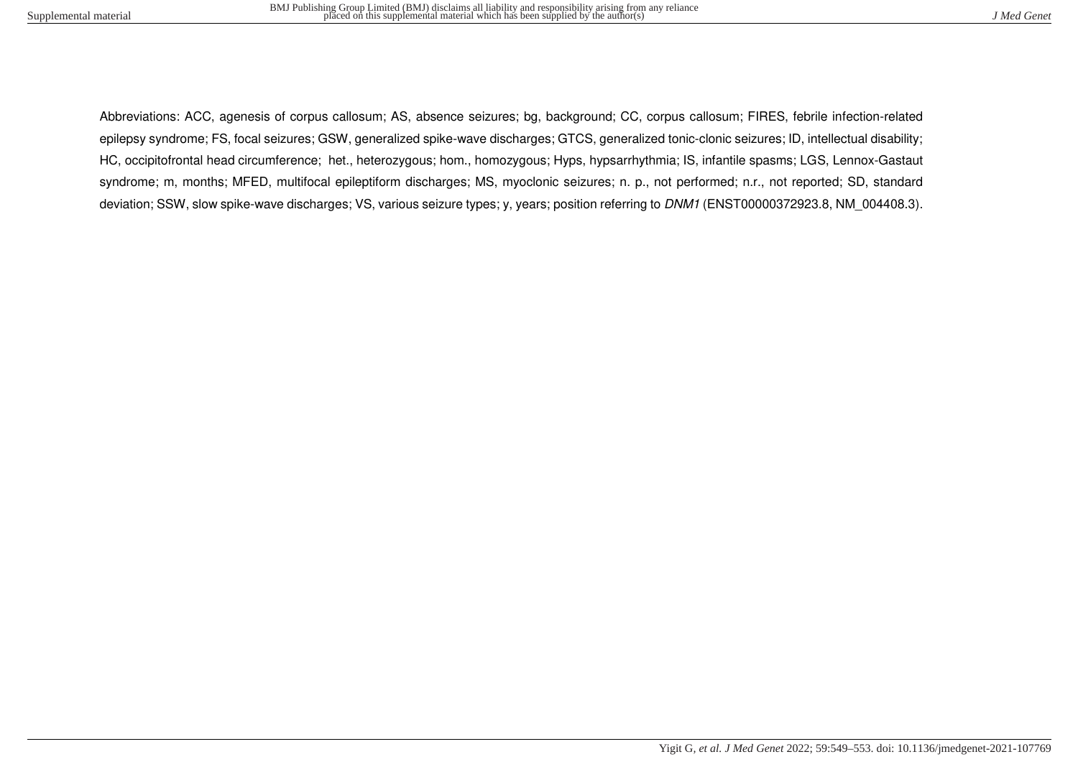Abbreviations: ACC, agenesis of corpus callosum; AS, absence seizures; bg, background; CC, corpus callosum; FIRES, febrile infection-related epilepsy syndrome; FS, focal seizures; GSW, generalized spike-wave discharges; GTCS, generalized tonic-clonic seizures; ID, intellectual disability; HC, occipitofrontal head circumference; het., heterozygous; hom., homozygous; Hyps, hypsarrhythmia; IS, infantile spasms; LGS, Lennox-Gastaut syndrome; m, months; MFED, multifocal epileptiform discharges; MS, myoclonic seizures; n. p., not performed; n.r., not reported; SD, standard deviation; SSW, slow spike-wave discharges; VS, various seizure types; y, years; position referring to DNM1 (ENST00000372923.8, NM 004408.3).